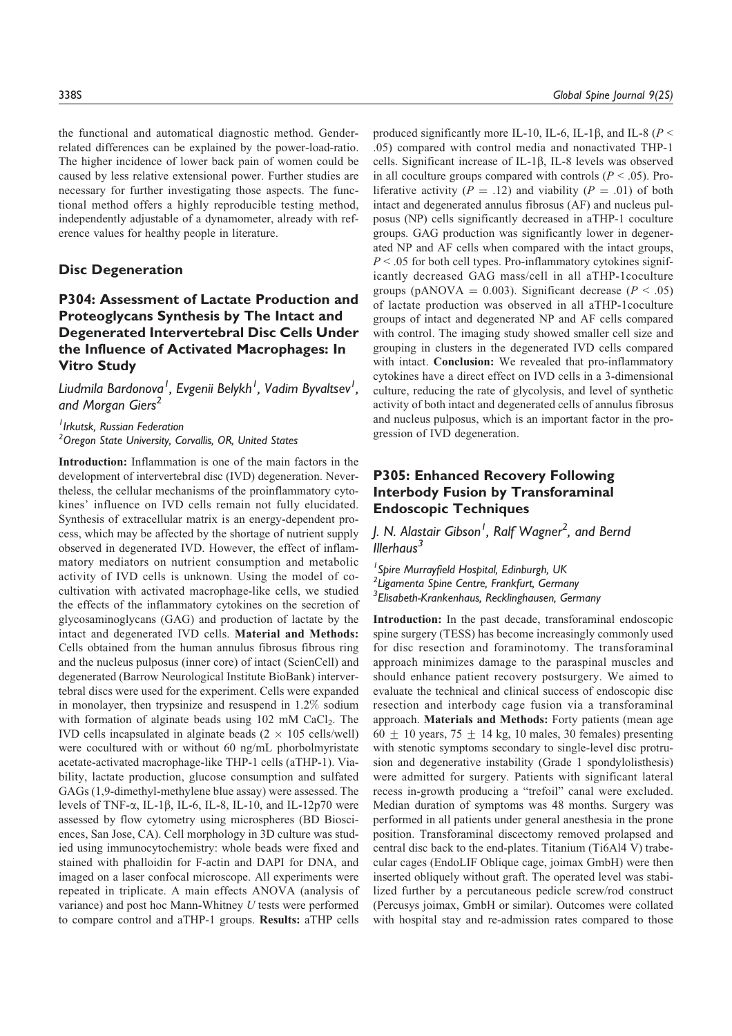the functional and automatical diagnostic method. Genderrelated differences can be explained by the power-load-ratio. The higher incidence of lower back pain of women could be caused by less relative extensional power. Further studies are necessary for further investigating those aspects. The functional method offers a highly reproducible testing method, independently adjustable of a dynamometer, already with reference values for healthy people in literature.

#### Disc Degeneration

# P304: Assessment of Lactate Production and Proteoglycans Synthesis by The Intact and Degenerated Intervertebral Disc Cells Under the Influence of Activated Macrophages: In Vitro Study

Liudmila Bardonova $^{\mathsf{I}}$ , Evgenii Belykh $^{\mathsf{I}}$ , Vadim Byvaltsev $^{\mathsf{I}}$ , and Morgan Giers<sup>2</sup>

<sup>1</sup> Irkutsk, Russian Federation <sup>2</sup> Oregon State University, Corvallis, OR, United States

Introduction: Inflammation is one of the main factors in the development of intervertebral disc (IVD) degeneration. Nevertheless, the cellular mechanisms of the proinflammatory cytokines' influence on IVD cells remain not fully elucidated. Synthesis of extracellular matrix is an energy-dependent process, which may be affected by the shortage of nutrient supply observed in degenerated IVD. However, the effect of inflammatory mediators on nutrient consumption and metabolic activity of IVD cells is unknown. Using the model of cocultivation with activated macrophage-like cells, we studied the effects of the inflammatory cytokines on the secretion of glycosaminoglycans (GAG) and production of lactate by the intact and degenerated IVD cells. Material and Methods: Cells obtained from the human annulus fibrosus fibrous ring and the nucleus pulposus (inner core) of intact (ScienCell) and degenerated (Barrow Neurological Institute BioBank) intervertebral discs were used for the experiment. Cells were expanded in monolayer, then trypsinize and resuspend in 1.2% sodium with formation of alginate beads using  $102 \text{ mM } CaCl<sub>2</sub>$ . The IVD cells incapsulated in alginate beads  $(2 \times 105 \text{ cells/well})$ were cocultured with or without 60 ng/mL phorbolmyristate acetate-activated macrophage-like THP-1 cells (aTHP-1). Viability, lactate production, glucose consumption and sulfated GAGs (1,9-dimethyl-methylene blue assay) were assessed. The levels of TNF- $\alpha$ , IL-1 $\beta$ , IL-6, IL-8, IL-10, and IL-12p70 were assessed by flow cytometry using microspheres (BD Biosciences, San Jose, CA). Cell morphology in 3D culture was studied using immunocytochemistry: whole beads were fixed and stained with phalloidin for F-actin and DAPI for DNA, and imaged on a laser confocal microscope. All experiments were repeated in triplicate. A main effects ANOVA (analysis of variance) and post hoc Mann-Whitney U tests were performed to compare control and aTHP-1 groups. Results: aTHP cells produced significantly more IL-10, IL-6, IL-1 $\beta$ , and IL-8 ( $P$  < .05) compared with control media and nonactivated THP-1 cells. Significant increase of IL-1 $\beta$ , IL-8 levels was observed in all coculture groups compared with controls ( $P < .05$ ). Proliferative activity ( $P = .12$ ) and viability ( $P = .01$ ) of both intact and degenerated annulus fibrosus (AF) and nucleus pulposus (NP) cells significantly decreased in aTHP-1 coculture groups. GAG production was significantly lower in degenerated NP and AF cells when compared with the intact groups,  $P < 0.05$  for both cell types. Pro-inflammatory cytokines significantly decreased GAG mass/cell in all aTHP-1coculture groups (pANOVA = 0.003). Significant decrease ( $P < .05$ ) of lactate production was observed in all aTHP-1coculture groups of intact and degenerated NP and AF cells compared with control. The imaging study showed smaller cell size and grouping in clusters in the degenerated IVD cells compared with intact. Conclusion: We revealed that pro-inflammatory cytokines have a direct effect on IVD cells in a 3-dimensional culture, reducing the rate of glycolysis, and level of synthetic activity of both intact and degenerated cells of annulus fibrosus and nucleus pulposus, which is an important factor in the progression of IVD degeneration.

### P305: Enhanced Recovery Following Interbody Fusion by Transforaminal Endoscopic Techniques

# J. N. Alastair Gibson $^{\prime}$ , Ralf Wagner $^2$ , and Bernd  $Illerhaus<sup>3</sup>$

<sup>1</sup> Spire Murrayfield Hospital, Edinburgh, UK <sup>2</sup> Ligamenta Spine Centre, Frankfurt, Germany <sup>3</sup> Elisabeth-Krankenhaus, Recklinghausen, Germany

Introduction: In the past decade, transforaminal endoscopic spine surgery (TESS) has become increasingly commonly used for disc resection and foraminotomy. The transforaminal approach minimizes damage to the paraspinal muscles and should enhance patient recovery postsurgery. We aimed to evaluate the technical and clinical success of endoscopic disc resection and interbody cage fusion via a transforaminal approach. Materials and Methods: Forty patients (mean age  $60 \pm 10$  years,  $75 \pm 14$  kg, 10 males, 30 females) presenting with stenotic symptoms secondary to single-level disc protrusion and degenerative instability (Grade 1 spondylolisthesis) were admitted for surgery. Patients with significant lateral recess in-growth producing a "trefoil" canal were excluded. Median duration of symptoms was 48 months. Surgery was performed in all patients under general anesthesia in the prone position. Transforaminal discectomy removed prolapsed and central disc back to the end-plates. Titanium (Ti6Al4 V) trabecular cages (EndoLIF Oblique cage, joimax GmbH) were then inserted obliquely without graft. The operated level was stabilized further by a percutaneous pedicle screw/rod construct (Percusys joimax, GmbH or similar). Outcomes were collated with hospital stay and re-admission rates compared to those